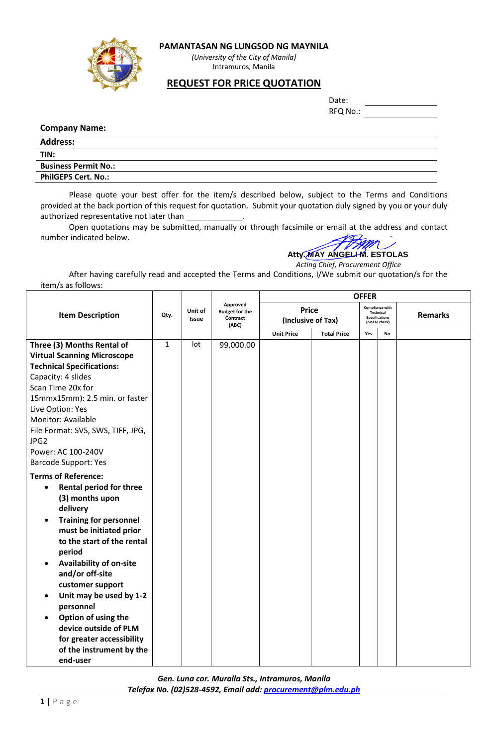

### **PAMANTASAN NG LUNGSOD NG MAYNILA**

*(University of the City of Manila)* Intramuros, Manila

## **REQUEST FOR PRICE QUOTATION**

| Date:    |  |
|----------|--|
| RFQ No.: |  |

#### **Company Name:**

| <b>Address:</b>             |  |
|-----------------------------|--|
| TIN:                        |  |
| <b>Business Permit No.:</b> |  |
| <b>PhilGEPS Cert. No.:</b>  |  |

Please quote your best offer for the item/s described below, subject to the Terms and Conditions provided at the back portion of this request for quotation. Submit your quotation duly signed by you or your duly authorized representative not later than

Open quotations may be submitted, manually or through facsimile or email at the address and contact number indicated below.



# *Acting Chief, Procurement Office*

After having carefully read and accepted the Terms and Conditions, I/We submit our quotation/s for the item/s as follows:

|                                             |              |                         |                                                        | <b>OFFER</b>                       |                    |                                                                                |    |                |
|---------------------------------------------|--------------|-------------------------|--------------------------------------------------------|------------------------------------|--------------------|--------------------------------------------------------------------------------|----|----------------|
| <b>Item Description</b>                     | Qty.         | Unit of<br><b>Issue</b> | Approved<br><b>Budget for the</b><br>Contract<br>(ABC) | <b>Price</b><br>(Inclusive of Tax) |                    | <b>Compliance with</b><br>Technical<br><b>Specifications</b><br>(please check) |    | <b>Remarks</b> |
|                                             |              |                         |                                                        | <b>Unit Price</b>                  | <b>Total Price</b> | Yes                                                                            | No |                |
| Three (3) Months Rental of                  | $\mathbf{1}$ | lot                     | 99,000.00                                              |                                    |                    |                                                                                |    |                |
| <b>Virtual Scanning Microscope</b>          |              |                         |                                                        |                                    |                    |                                                                                |    |                |
| <b>Technical Specifications:</b>            |              |                         |                                                        |                                    |                    |                                                                                |    |                |
| Capacity: 4 slides                          |              |                         |                                                        |                                    |                    |                                                                                |    |                |
| Scan Time 20x for                           |              |                         |                                                        |                                    |                    |                                                                                |    |                |
| 15mmx15mm): 2.5 min. or faster              |              |                         |                                                        |                                    |                    |                                                                                |    |                |
| Live Option: Yes                            |              |                         |                                                        |                                    |                    |                                                                                |    |                |
| Monitor: Available                          |              |                         |                                                        |                                    |                    |                                                                                |    |                |
| File Format: SVS, SWS, TIFF, JPG,           |              |                         |                                                        |                                    |                    |                                                                                |    |                |
| JPG2                                        |              |                         |                                                        |                                    |                    |                                                                                |    |                |
| Power: AC 100-240V                          |              |                         |                                                        |                                    |                    |                                                                                |    |                |
| <b>Barcode Support: Yes</b>                 |              |                         |                                                        |                                    |                    |                                                                                |    |                |
| <b>Terms of Reference:</b>                  |              |                         |                                                        |                                    |                    |                                                                                |    |                |
| <b>Rental period for three</b><br>$\bullet$ |              |                         |                                                        |                                    |                    |                                                                                |    |                |
| (3) months upon                             |              |                         |                                                        |                                    |                    |                                                                                |    |                |
| delivery                                    |              |                         |                                                        |                                    |                    |                                                                                |    |                |
| <b>Training for personnel</b><br>$\bullet$  |              |                         |                                                        |                                    |                    |                                                                                |    |                |
| must be initiated prior                     |              |                         |                                                        |                                    |                    |                                                                                |    |                |
| to the start of the rental                  |              |                         |                                                        |                                    |                    |                                                                                |    |                |
| period                                      |              |                         |                                                        |                                    |                    |                                                                                |    |                |
| <b>Availability of on-site</b><br>٠         |              |                         |                                                        |                                    |                    |                                                                                |    |                |
| and/or off-site                             |              |                         |                                                        |                                    |                    |                                                                                |    |                |
| customer support                            |              |                         |                                                        |                                    |                    |                                                                                |    |                |
| Unit may be used by 1-2<br>$\bullet$        |              |                         |                                                        |                                    |                    |                                                                                |    |                |
| personnel                                   |              |                         |                                                        |                                    |                    |                                                                                |    |                |
| Option of using the<br>$\bullet$            |              |                         |                                                        |                                    |                    |                                                                                |    |                |
| device outside of PLM                       |              |                         |                                                        |                                    |                    |                                                                                |    |                |
| for greater accessibility                   |              |                         |                                                        |                                    |                    |                                                                                |    |                |
| of the instrument by the                    |              |                         |                                                        |                                    |                    |                                                                                |    |                |
| end-user                                    |              |                         |                                                        |                                    |                    |                                                                                |    |                |